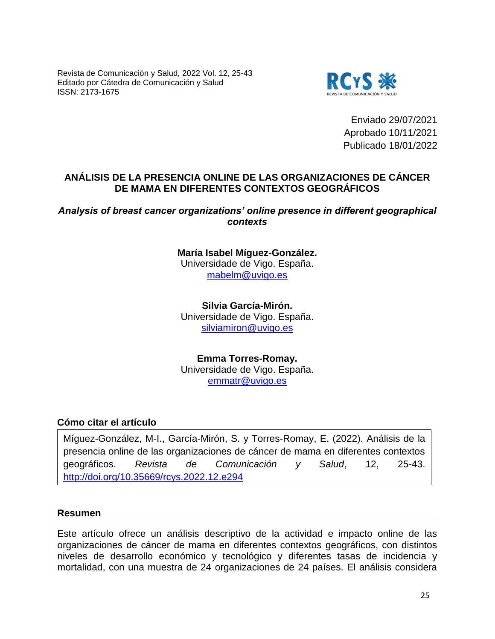Revista de Comunicación y Salud, 2022 Vol. 12, 25-43 Editado por Cátedra de Comunicación y Salud ISSN: 2173-1675



Enviado 29/07/2021 Aprobado 10/11/2021 Publicado 18/01/2022

# **ANÁLISIS DE LA PRESENCIA ONLINE DE LAS ORGANIZACIONES DE CÁNCER DE MAMA EN DIFERENTES CONTEXTOS GEOGRÁFICOS**

# *Analysis of breast cancer organizations' online presence in different geographical contexts*

**María Isabel Míguez-González.** Universidade de Vigo. España. [mabelm@uvigo.es](mailto:mabelm@uvigo.es)

**Silvia García-Mirón.** Universidade de Vigo. España. [silviamiron@uvigo.es](mailto:silviamiron@uvigo.es)

**Emma Torres-Romay.** Universidade de Vigo. España. [emmatr@uvigo.es](mailto:emmatr@uvigo.es)

# **Cómo citar el artículo**

Míguez-González, M-I., García-Mirón, S. y Torres-Romay, E. (2022). Análisis de la presencia online de las organizaciones de cáncer de mama en diferentes contextos geográficos. *Revista de Comunicación y Salud*, 12, 25-43. <http://doi.org/10.35669/rcys.2022.12.e294>

# **Resumen**

Este artículo ofrece un análisis descriptivo de la actividad e impacto online de las organizaciones de cáncer de mama en diferentes contextos geográficos, con distintos niveles de desarrollo económico y tecnológico y diferentes tasas de incidencia y mortalidad, con una muestra de 24 organizaciones de 24 países. El análisis considera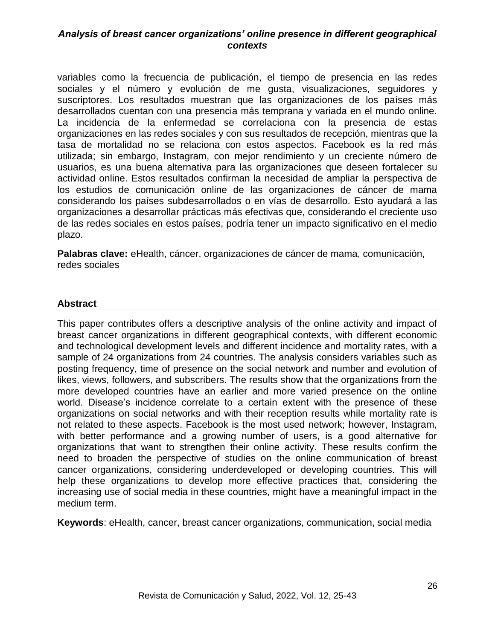variables como la frecuencia de publicación, el tiempo de presencia en las redes sociales y el número y evolución de me gusta, visualizaciones, seguidores y suscriptores. Los resultados muestran que las organizaciones de los países más desarrollados cuentan con una presencia más temprana y variada en el mundo online. La incidencia de la enfermedad se correlaciona con la presencia de estas organizaciones en las redes sociales y con sus resultados de recepción, mientras que la tasa de mortalidad no se relaciona con estos aspectos. Facebook es la red más utilizada; sin embargo, Instagram, con mejor rendimiento y un creciente número de usuarios, es una buena alternativa para las organizaciones que deseen fortalecer su actividad online. Estos resultados confirman la necesidad de ampliar la perspectiva de los estudios de comunicación online de las organizaciones de cáncer de mama considerando los países subdesarrollados o en vías de desarrollo. Esto ayudará a las organizaciones a desarrollar prácticas más efectivas que, considerando el creciente uso de las redes sociales en estos países, podría tener un impacto significativo en el medio plazo.

**Palabras clave:** eHealth, cáncer, organizaciones de cáncer de mama, comunicación, redes sociales

# **Abstract**

This paper contributes offers a descriptive analysis of the online activity and impact of breast cancer organizations in different geographical contexts, with different economic and technological development levels and different incidence and mortality rates, with a sample of 24 organizations from 24 countries. The analysis considers variables such as posting frequency, time of presence on the social network and number and evolution of likes, views, followers, and subscribers. The results show that the organizations from the more developed countries have an earlier and more varied presence on the online world. Disease's incidence correlate to a certain extent with the presence of these organizations on social networks and with their reception results while mortality rate is not related to these aspects. Facebook is the most used network; however, Instagram, with better performance and a growing number of users, is a good alternative for organizations that want to strengthen their online activity. These results confirm the need to broaden the perspective of studies on the online communication of breast cancer organizations, considering underdeveloped or developing countries. This will help these organizations to develop more effective practices that, considering the increasing use of social media in these countries, might have a meaningful impact in the medium term.

**Keywords**: eHealth, cancer, breast cancer organizations, communication, social media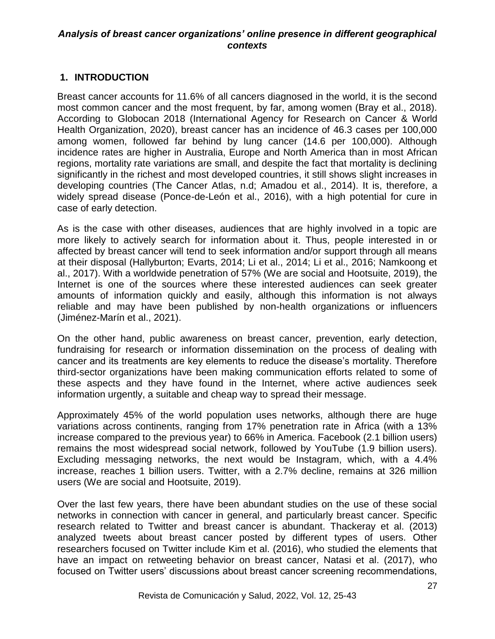# **1. INTRODUCTION**

Breast cancer accounts for 11.6% of all cancers diagnosed in the world, it is the second most common cancer and the most frequent, by far, among women (Bray et al., 2018). According to Globocan 2018 (International Agency for Research on Cancer & World Health Organization, 2020), breast cancer has an incidence of 46.3 cases per 100,000 among women, followed far behind by lung cancer (14.6 per 100,000). Although incidence rates are higher in Australia, Europe and North America than in most African regions, mortality rate variations are small, and despite the fact that mortality is declining significantly in the richest and most developed countries, it still shows slight increases in developing countries (The Cancer Atlas, n.d; Amadou et al., 2014). It is, therefore, a widely spread disease (Ponce-de-León et al., 2016), with a high potential for cure in case of early detection.

As is the case with other diseases, audiences that are highly involved in a topic are more likely to actively search for information about it. Thus, people interested in or affected by breast cancer will tend to seek information and/or support through all means at their disposal (Hallyburton; Evarts, 2014; Li et al., 2014; Li et al., 2016; Namkoong et al., 2017). With a worldwide penetration of 57% (We are social and Hootsuite, 2019), the Internet is one of the sources where these interested audiences can seek greater amounts of information quickly and easily, although this information is not always reliable and may have been published by non-health organizations or influencers (Jiménez-Marín et al., 2021).

On the other hand, public awareness on breast cancer, prevention, early detection, fundraising for research or information dissemination on the process of dealing with cancer and its treatments are key elements to reduce the disease's mortality. Therefore third-sector organizations have been making communication efforts related to some of these aspects and they have found in the Internet, where active audiences seek information urgently, a suitable and cheap way to spread their message.

Approximately 45% of the world population uses networks, although there are huge variations across continents, ranging from 17% penetration rate in Africa (with a 13% increase compared to the previous year) to 66% in America. Facebook (2.1 billion users) remains the most widespread social network, followed by YouTube (1.9 billion users). Excluding messaging networks, the next would be Instagram, which, with a 4.4% increase, reaches 1 billion users. Twitter, with a 2.7% decline, remains at 326 million users (We are social and Hootsuite, 2019).

Over the last few years, there have been abundant studies on the use of these social networks in connection with cancer in general, and particularly breast cancer. Specific research related to Twitter and breast cancer is abundant. Thackeray et al. (2013) analyzed tweets about breast cancer posted by different types of users. Other researchers focused on Twitter include Kim et al. (2016), who studied the elements that have an impact on retweeting behavior on breast cancer, Natasi et al. (2017), who focused on Twitter users' discussions about breast cancer screening recommendations,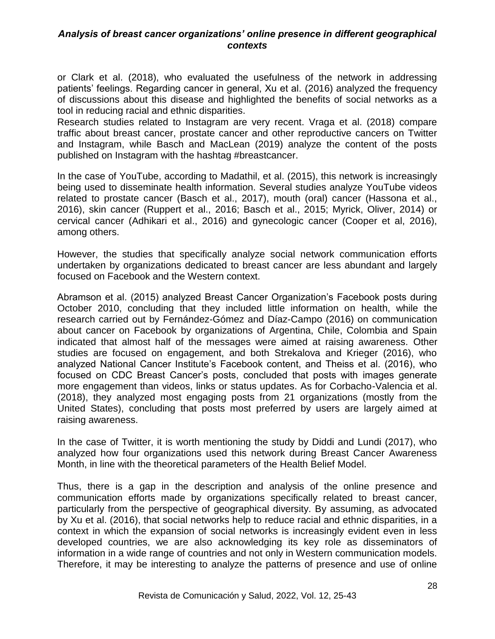or Clark et al. (2018), who evaluated the usefulness of the network in addressing patients' feelings. Regarding cancer in general, Xu et al. (2016) analyzed the frequency of discussions about this disease and highlighted the benefits of social networks as a tool in reducing racial and ethnic disparities.

Research studies related to Instagram are very recent. Vraga et al. (2018) compare traffic about breast cancer, prostate cancer and other reproductive cancers on Twitter and Instagram, while Basch and MacLean (2019) analyze the content of the posts published on Instagram with the hashtag #breastcancer.

In the case of YouTube, according to Madathil, et al. (2015), this network is increasingly being used to disseminate health information. Several studies analyze YouTube videos related to prostate cancer (Basch et al., 2017), mouth (oral) cancer (Hassona et al., 2016), skin cancer (Ruppert et al., 2016; Basch et al., 2015; Myrick, Oliver, 2014) or cervical cancer (Adhikari et al., 2016) and gynecologic cancer (Cooper et al, 2016), among others.

However, the studies that specifically analyze social network communication efforts undertaken by organizations dedicated to breast cancer are less abundant and largely focused on Facebook and the Western context.

Abramson et al. (2015) analyzed Breast Cancer Organization's Facebook posts during October 2010, concluding that they included little information on health, while the research carried out by Fernández-Gómez and Díaz-Campo (2016) on communication about cancer on Facebook by organizations of Argentina, Chile, Colombia and Spain indicated that almost half of the messages were aimed at raising awareness. Other studies are focused on engagement, and both Strekalova and Krieger (2016), who analyzed National Cancer Institute's Facebook content, and Theiss et al. (2016), who focused on CDC Breast Cancer's posts, concluded that posts with images generate more engagement than videos, links or status updates. As for Corbacho-Valencia et al. (2018), they analyzed most engaging posts from 21 organizations (mostly from the United States), concluding that posts most preferred by users are largely aimed at raising awareness.

In the case of Twitter, it is worth mentioning the study by Diddi and Lundi (2017), who analyzed how four organizations used this network during Breast Cancer Awareness Month, in line with the theoretical parameters of the Health Belief Model.

Thus, there is a gap in the description and analysis of the online presence and communication efforts made by organizations specifically related to breast cancer, particularly from the perspective of geographical diversity. By assuming, as advocated by Xu et al. (2016), that social networks help to reduce racial and ethnic disparities, in a context in which the expansion of social networks is increasingly evident even in less developed countries, we are also acknowledging its key role as disseminators of information in a wide range of countries and not only in Western communication models. Therefore, it may be interesting to analyze the patterns of presence and use of online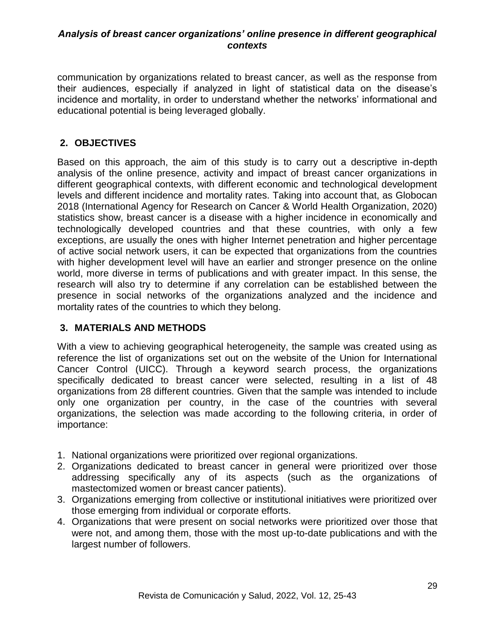communication by organizations related to breast cancer, as well as the response from their audiences, especially if analyzed in light of statistical data on the disease's incidence and mortality, in order to understand whether the networks' informational and educational potential is being leveraged globally.

# **2. OBJECTIVES**

Based on this approach, the aim of this study is to carry out a descriptive in-depth analysis of the online presence, activity and impact of breast cancer organizations in different geographical contexts, with different economic and technological development levels and different incidence and mortality rates. Taking into account that, as Globocan 2018 (International Agency for Research on Cancer & World Health Organization, 2020) statistics show, breast cancer is a disease with a higher incidence in economically and technologically developed countries and that these countries, with only a few exceptions, are usually the ones with higher Internet penetration and higher percentage of active social network users, it can be expected that organizations from the countries with higher development level will have an earlier and stronger presence on the online world, more diverse in terms of publications and with greater impact. In this sense, the research will also try to determine if any correlation can be established between the presence in social networks of the organizations analyzed and the incidence and mortality rates of the countries to which they belong.

# **3. MATERIALS AND METHODS**

With a view to achieving geographical heterogeneity, the sample was created using as reference the list of organizations set out on the website of the Union for International Cancer Control (UICC). Through a keyword search process, the organizations specifically dedicated to breast cancer were selected, resulting in a list of 48 organizations from 28 different countries. Given that the sample was intended to include only one organization per country, in the case of the countries with several organizations, the selection was made according to the following criteria, in order of importance:

- 1. National organizations were prioritized over regional organizations.
- 2. Organizations dedicated to breast cancer in general were prioritized over those addressing specifically any of its aspects (such as the organizations of mastectomized women or breast cancer patients).
- 3. Organizations emerging from collective or institutional initiatives were prioritized over those emerging from individual or corporate efforts.
- 4. Organizations that were present on social networks were prioritized over those that were not, and among them, those with the most up-to-date publications and with the largest number of followers.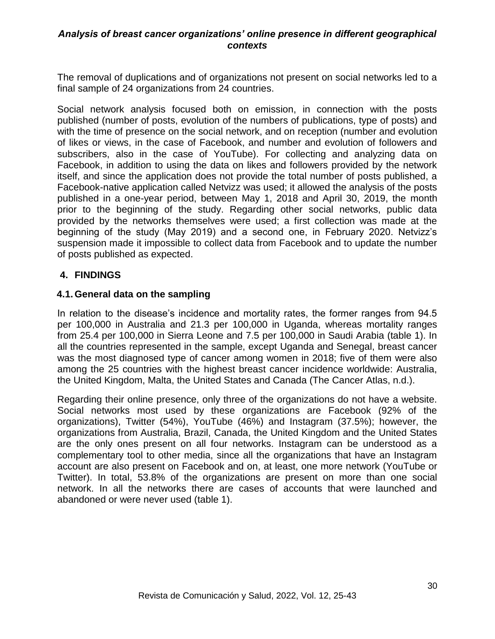The removal of duplications and of organizations not present on social networks led to a final sample of 24 organizations from 24 countries.

Social network analysis focused both on emission, in connection with the posts published (number of posts, evolution of the numbers of publications, type of posts) and with the time of presence on the social network, and on reception (number and evolution of likes or views, in the case of Facebook, and number and evolution of followers and subscribers, also in the case of YouTube). For collecting and analyzing data on Facebook, in addition to using the data on likes and followers provided by the network itself, and since the application does not provide the total number of posts published, a Facebook-native application called Netvizz was used; it allowed the analysis of the posts published in a one-year period, between May 1, 2018 and April 30, 2019, the month prior to the beginning of the study. Regarding other social networks, public data provided by the networks themselves were used; a first collection was made at the beginning of the study (May 2019) and a second one, in February 2020. Netvizz's suspension made it impossible to collect data from Facebook and to update the number of posts published as expected.

# **4. FINDINGS**

#### **4.1.General data on the sampling**

In relation to the disease's incidence and mortality rates, the former ranges from 94.5 per 100,000 in Australia and 21.3 per 100,000 in Uganda, whereas mortality ranges from 25.4 per 100,000 in Sierra Leone and 7.5 per 100,000 in Saudi Arabia (table 1). In all the countries represented in the sample, except Uganda and Senegal, breast cancer was the most diagnosed type of cancer among women in 2018; five of them were also among the 25 countries with the highest breast cancer incidence worldwide: Australia, the United Kingdom, Malta, the United States and Canada (The Cancer Atlas, n.d.).

Regarding their online presence, only three of the organizations do not have a website. Social networks most used by these organizations are Facebook (92% of the organizations), Twitter (54%), YouTube (46%) and Instagram (37.5%); however, the organizations from Australia, Brazil, Canada, the United Kingdom and the United States are the only ones present on all four networks. Instagram can be understood as a complementary tool to other media, since all the organizations that have an Instagram account are also present on Facebook and on, at least, one more network (YouTube or Twitter). In total, 53.8% of the organizations are present on more than one social network. In all the networks there are cases of accounts that were launched and abandoned or were never used (table 1).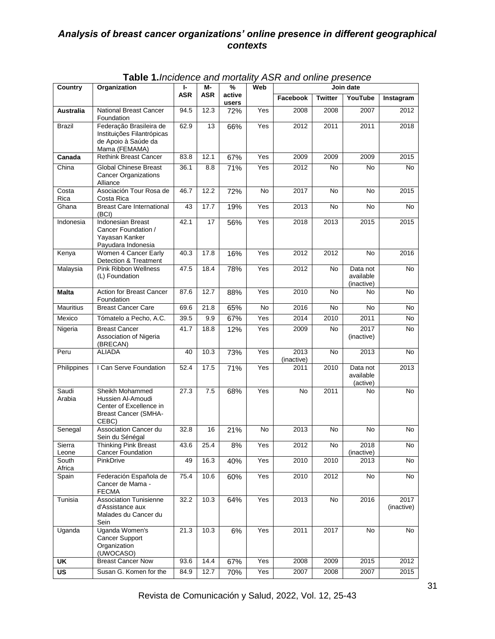| Country                           | Organization                                                                                            | ŀ.         | M-         | %               | Web | $\frac{1}{2}$ and $\frac{1}{2}$ and $\frac{1}{2}$ and $\frac{1}{2}$ and $\frac{1}{2}$ and $\frac{1}{2}$ and $\frac{1}{2}$<br>Join date |                |                                     |                    |
|-----------------------------------|---------------------------------------------------------------------------------------------------------|------------|------------|-----------------|-----|----------------------------------------------------------------------------------------------------------------------------------------|----------------|-------------------------------------|--------------------|
|                                   |                                                                                                         | <b>ASR</b> | <b>ASR</b> | active<br>users |     | Facebook                                                                                                                               | <b>Twitter</b> | YouTube                             | Instagram          |
| <b>Australia</b>                  | <b>National Breast Cancer</b><br>Foundation                                                             | 94.5       | 12.3       | 72%             | Yes | 2008                                                                                                                                   | 2008           | 2007                                | 2012               |
| Brazil                            | Federação Brasileira de<br>Instituições Filantrópicas<br>de Apoio à Saúde da<br>Mama (FEMAMA)           | 62.9       | 13         | 66%             | Yes | 2012                                                                                                                                   | 2011           | 2011                                | 2018               |
| Canada                            | <b>Rethink Breast Cancer</b>                                                                            | 83.8       | 12.1       | 67%             | Yes | 2009                                                                                                                                   | 2009           | 2009                                | 2015               |
| China                             | <b>Global Chinese Breast</b><br><b>Cancer Organizations</b><br>Alliance                                 | 36.1       | 8.8        | 71%             | Yes | 2012                                                                                                                                   | No             | No                                  | No                 |
| Costa<br>Rica                     | Asociación Tour Rosa de<br>Costa Rica                                                                   | 46.7       | 12.2       | 72%             | No  | 2017                                                                                                                                   | <b>No</b>      | No                                  | 2015               |
| Ghana                             | <b>Breast Care International</b><br>(BCI)                                                               | 43         | 77.7       | 19%             | Yes | 2013                                                                                                                                   | No             | No                                  | No                 |
| Indonesia                         | <b>Indonesian Breast</b><br>Cancer Foundation /<br>Yayasan Kanker<br>Payudara Indonesia                 | 42.1       | 17         | 56%             | Yes | 2018                                                                                                                                   | 2013           | 2015                                | 2015               |
| Kenya                             | Women 4 Cancer Early<br>Detection & Treatment                                                           | 40.3       | 17.8       | 16%             | Yes | 2012                                                                                                                                   | 2012           | No                                  | 2016               |
| Malaysia                          | <b>Pink Ribbon Wellness</b><br>(L) Foundation                                                           | 47.5       | 18.4       | 78%             | Yes | 2012                                                                                                                                   | No             | Data not<br>available<br>(inactive) | No                 |
| <b>Malta</b>                      | Action for Breast Cancer<br>Foundation                                                                  | 87.6       | 12.7       | 88%             | Yes | 2010                                                                                                                                   | No             | No                                  | No                 |
| <b>Mauritius</b>                  | <b>Breast Cancer Care</b>                                                                               | 69.6       | 21.8       | 65%             | No  | 2016                                                                                                                                   | No             | No                                  | No                 |
| Mexico                            | Tómatelo a Pecho, A.C.                                                                                  | 39.5       | 9.9        | 67%             | Yes | 2014                                                                                                                                   | 2010           | 2011                                | No                 |
| Nigeria                           | <b>Breast Cancer</b><br>Association of Nigeria<br>(BRECAN)                                              | 41.7       | 18.8       | 12%             | Yes | 2009                                                                                                                                   | No             | 2017<br>(inactive)                  | No                 |
| Peru                              | ALIADA                                                                                                  | 40         | 10.3       | 73%             | Yes | 2013<br>(inactive)                                                                                                                     | No             | $\overline{2013}$                   | No                 |
| Philippines                       | I Can Serve Foundation                                                                                  | 52.4       | 17.5       | 71%             | Yes | 2011                                                                                                                                   | 2010           | Data not<br>available<br>(active)   | 2013               |
| Saudi<br>Arabia                   | Sheikh Mohammed<br>Hussien Al-Amoudi<br>Center of Excellence in<br><b>Breast Cancer (SMHA-</b><br>CEBC) | 27.3       | 7.5        | 68%             | Yes | No                                                                                                                                     | 2011           | No                                  | No                 |
| Senegal                           | Association Cancer du<br>Sein du Sénégal                                                                | 32.8       | 16         | 21%             | No  | 2013                                                                                                                                   | No             | No                                  | No                 |
| Sierra<br>Leone                   | <b>Thinking Pink Breast</b><br>Cancer Foundation                                                        | 43.6       | 25.4       | $8\%$           | Yes | 2012                                                                                                                                   | No             | 2018<br>(inactive)                  | No                 |
| South<br>Africa                   | PinkDrive                                                                                               | 49         | 16.3       | 40%             | Yes | 2010                                                                                                                                   | 2010           | 2013                                | No                 |
| Spain                             | Federación Española de<br>Cancer de Mama -<br><b>FECMA</b>                                              | 75.4       | 10.6       | 60%             | Yes | 2010                                                                                                                                   | 2012           | No                                  | No                 |
| Tunisia                           | <b>Association Tunisienne</b><br>d'Assistance aux<br>Malades du Cancer du<br>Sein                       | 32.2       | 10.3       | 64%             | Yes | 2013                                                                                                                                   | No             | 2016                                | 2017<br>(inactive) |
| Uganda                            | Uganda Women's<br><b>Cancer Support</b><br>Organization<br>(UWOCASO)                                    | 21.3       | 10.3       | 6%              | Yes | 2011                                                                                                                                   | 2017           | No                                  | No                 |
| UK                                | <b>Breast Cancer Now</b>                                                                                | 93.6       | 14.4       | 67%             | Yes | 2008                                                                                                                                   | 2009           | 2015                                | 2012               |
| $\overline{\mathsf{u}\mathsf{s}}$ | Susan G. Komen for the                                                                                  | 84.9       | 12.7       | 70%             | Yes | 2007                                                                                                                                   | 2008           | 2007                                | 2015               |

**Table 1.***Incidence and mortality ASR and online presence*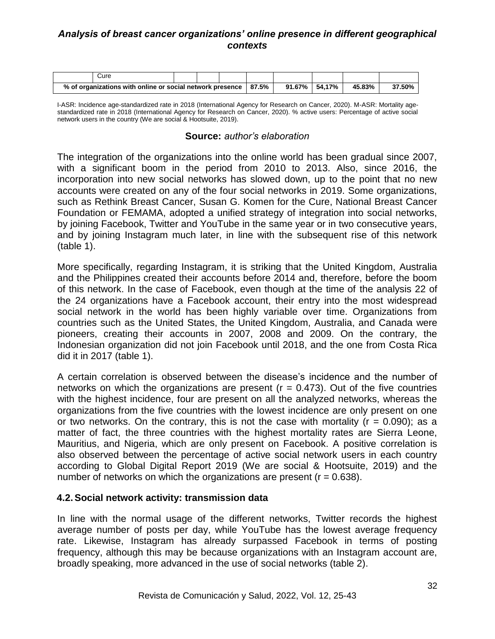|                                                           | Cure |  |  |       |               |        |        |  |
|-----------------------------------------------------------|------|--|--|-------|---------------|--------|--------|--|
| % of organizations with online or social network presence |      |  |  | 87.5% | 91.67% 54.17% | 45.83% | 37.50% |  |

I-ASR: Incidence age-standardized rate in 2018 (International Agency for Research on Cancer, 2020). M-ASR: Mortality agestandardized rate in 2018 (International Agency for Research on Cancer, 2020). % active users: Percentage of active social network users in the country (We are social & Hootsuite, 2019).

#### **Source:** *author's elaboration*

The integration of the organizations into the online world has been gradual since 2007, with a significant boom in the period from 2010 to 2013. Also, since 2016, the incorporation into new social networks has slowed down, up to the point that no new accounts were created on any of the four social networks in 2019. Some organizations, such as Rethink Breast Cancer, Susan G. Komen for the Cure, National Breast Cancer Foundation or FEMAMA, adopted a unified strategy of integration into social networks, by joining Facebook, Twitter and YouTube in the same year or in two consecutive years, and by joining Instagram much later, in line with the subsequent rise of this network (table 1).

More specifically, regarding Instagram, it is striking that the United Kingdom, Australia and the Philippines created their accounts before 2014 and, therefore, before the boom of this network. In the case of Facebook, even though at the time of the analysis 22 of the 24 organizations have a Facebook account, their entry into the most widespread social network in the world has been highly variable over time. Organizations from countries such as the United States, the United Kingdom, Australia, and Canada were pioneers, creating their accounts in 2007, 2008 and 2009. On the contrary, the Indonesian organization did not join Facebook until 2018, and the one from Costa Rica did it in 2017 (table 1).

A certain correlation is observed between the disease's incidence and the number of networks on which the organizations are present ( $r = 0.473$ ). Out of the five countries with the highest incidence, four are present on all the analyzed networks, whereas the organizations from the five countries with the lowest incidence are only present on one or two networks. On the contrary, this is not the case with mortality  $(r = 0.090)$ ; as a matter of fact, the three countries with the highest mortality rates are Sierra Leone, Mauritius, and Nigeria, which are only present on Facebook. A positive correlation is also observed between the percentage of active social network users in each country according to Global Digital Report 2019 (We are social & Hootsuite, 2019) and the number of networks on which the organizations are present  $(r = 0.638)$ .

#### **4.2.Social network activity: transmission data**

In line with the normal usage of the different networks, Twitter records the highest average number of posts per day, while YouTube has the lowest average frequency rate. Likewise, Instagram has already surpassed Facebook in terms of posting frequency, although this may be because organizations with an Instagram account are, broadly speaking, more advanced in the use of social networks (table 2).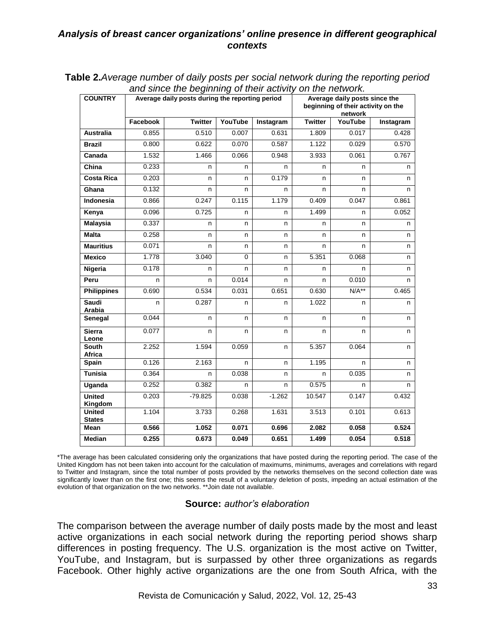| <b>COUNTRY</b>                 |          | and since the beginning or their activity on the network.<br>Average daily posts during the reporting period |         | Average daily posts since the<br>beginning of their activity on the<br>network |                |         |           |
|--------------------------------|----------|--------------------------------------------------------------------------------------------------------------|---------|--------------------------------------------------------------------------------|----------------|---------|-----------|
|                                | Facebook | <b>Twitter</b>                                                                                               | YouTube | Instagram                                                                      | <b>Twitter</b> | YouTube | Instagram |
| <b>Australia</b>               | 0.855    | 0.510                                                                                                        | 0.007   | 0.631                                                                          | 1.809          | 0.017   | 0.428     |
| <b>Brazil</b>                  | 0.800    | 0.622                                                                                                        | 0.070   | 0.587                                                                          | 1.122          | 0.029   | 0.570     |
| Canada                         | 1.532    | 1.466                                                                                                        | 0.066   | 0.948                                                                          | 3.933          | 0.061   | 0.767     |
| China                          | 0.233    | n                                                                                                            | n.      | n                                                                              | n              | n       | n         |
| <b>Costa Rica</b>              | 0.203    | n                                                                                                            | n       | 0.179                                                                          | n              | n       | n         |
| Ghana                          | 0.132    | n                                                                                                            | n.      | n                                                                              | n              | n       | n         |
| Indonesia                      | 0.866    | 0.247                                                                                                        | 0.115   | 1.179                                                                          | 0.409          | 0.047   | 0.861     |
| Kenya                          | 0.096    | 0.725                                                                                                        | n.      | n                                                                              | 1.499          | n       | 0.052     |
| <b>Malaysia</b>                | 0.337    | n                                                                                                            | n       | n                                                                              | n              | n       | n         |
| <b>Malta</b>                   | 0.258    | n                                                                                                            | n       | n                                                                              | n              | n       | n         |
| <b>Mauritius</b>               | 0.071    | n                                                                                                            | n       | n                                                                              | n              | n       | n         |
| <b>Mexico</b>                  | 1.778    | 3.040                                                                                                        | 0       | n                                                                              | 5.351          | 0.068   | n         |
| Nigeria                        | 0.178    | n                                                                                                            | n.      | n                                                                              | n              | n       | n         |
| Peru                           | n        | n                                                                                                            | 0.014   | n                                                                              | n              | 0.010   | n         |
| <b>Philippines</b>             | 0.690    | 0.534                                                                                                        | 0.031   | 0.651                                                                          | 0.630          | $N/A**$ | 0.465     |
| <b>Saudi</b><br>Arabia         | n        | 0.287                                                                                                        | n       | n                                                                              | 1.022          | n       | n         |
| Senegal                        | 0.044    | n                                                                                                            | n       | n                                                                              | n              | n       | n         |
| <b>Sierra</b><br>Leone         | 0.077    | n                                                                                                            | n       | n                                                                              | n              | n       | n         |
| <b>South</b><br>Africa         | 2.252    | 1.594                                                                                                        | 0.059   | n                                                                              | 5.357          | 0.064   | n         |
| Spain                          | 0.126    | 2.163                                                                                                        | n       | n                                                                              | 1.195          | n       | n         |
| <b>Tunisia</b>                 | 0.364    | n.                                                                                                           | 0.038   | n                                                                              | n              | 0.035   | n         |
| Uganda                         | 0.252    | 0.382                                                                                                        | n       | n                                                                              | 0.575          | n       | n         |
| <b>United</b><br>Kingdom       | 0.203    | $-79.825$                                                                                                    | 0.038   | $-1.262$                                                                       | 10.547         | 0.147   | 0.432     |
| <b>United</b><br><b>States</b> | 1.104    | 3.733                                                                                                        | 0.268   | 1.631                                                                          | 3.513          | 0.101   | 0.613     |
| <b>Mean</b>                    | 0.566    | 1.052                                                                                                        | 0.071   | 0.696                                                                          | 2.082          | 0.058   | 0.524     |
| Median                         | 0.255    | 0.673                                                                                                        | 0.049   | 0.651                                                                          | 1.499          | 0.054   | 0.518     |

**Table 2.***Average number of daily posts per social network during the reporting period and since the beginning of their activity on the network.*

\*The average has been calculated considering only the organizations that have posted during the reporting period. The case of the United Kingdom has not been taken into account for the calculation of maximums, minimums, averages and correlations with regard to Twitter and Instagram, since the total number of posts provided by the networks themselves on the second collection date was significantly lower than on the first one; this seems the result of a voluntary deletion of posts, impeding an actual estimation of the evolution of that organization on the two networks. \*\*Join date not available.

#### **Source:** *author's elaboration*

The comparison between the average number of daily posts made by the most and least active organizations in each social network during the reporting period shows sharp differences in posting frequency. The U.S. organization is the most active on Twitter, YouTube, and Instagram, but is surpassed by other three organizations as regards Facebook. Other highly active organizations are the one from South Africa, with the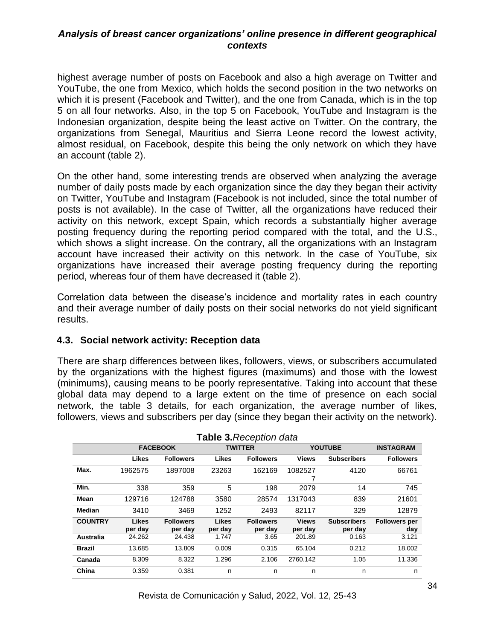highest average number of posts on Facebook and also a high average on Twitter and YouTube, the one from Mexico, which holds the second position in the two networks on which it is present (Facebook and Twitter), and the one from Canada, which is in the top 5 on all four networks. Also, in the top 5 on Facebook, YouTube and Instagram is the Indonesian organization, despite being the least active on Twitter. On the contrary, the organizations from Senegal, Mauritius and Sierra Leone record the lowest activity, almost residual, on Facebook, despite this being the only network on which they have an account (table 2).

On the other hand, some interesting trends are observed when analyzing the average number of daily posts made by each organization since the day they began their activity on Twitter, YouTube and Instagram (Facebook is not included, since the total number of posts is not available). In the case of Twitter, all the organizations have reduced their activity on this network, except Spain, which records a substantially higher average posting frequency during the reporting period compared with the total, and the U.S., which shows a slight increase. On the contrary, all the organizations with an Instagram account have increased their activity on this network. In the case of YouTube, six organizations have increased their average posting frequency during the reporting period, whereas four of them have decreased it (table 2).

Correlation data between the disease's incidence and mortality rates in each country and their average number of daily posts on their social networks do not yield significant results.

# **4.3. Social network activity: Reception data**

There are sharp differences between likes, followers, views, or subscribers accumulated by the organizations with the highest figures (maximums) and those with the lowest (minimums), causing means to be poorly representative. Taking into account that these global data may depend to a large extent on the time of presence on each social network, the table 3 details, for each organization, the average number of likes, followers, views and subscribers per day (since they began their activity on the network).

| <b>Table 3. Reception data</b> |                         |                             |                  |                             |                         |                               |                             |
|--------------------------------|-------------------------|-----------------------------|------------------|-----------------------------|-------------------------|-------------------------------|-----------------------------|
|                                | <b>FACEBOOK</b>         |                             | <b>TWITTER</b>   |                             | <b>YOUTUBE</b>          | <b>INSTAGRAM</b>              |                             |
|                                | <b>Likes</b>            | <b>Followers</b>            | Likes            | <b>Followers</b>            | <b>Views</b>            | <b>Subscribers</b>            | <b>Followers</b>            |
| Max.                           | 1962575                 | 1897008                     | 23263            | 162169                      | 1082527                 | 4120                          | 66761                       |
| Min.                           | 338                     | 359                         | 5                | 198                         | 2079                    | 14                            | 745                         |
| Mean                           | 129716                  | 124788                      | 3580             | 28574                       | 1317043                 | 839                           | 21601                       |
| <b>Median</b>                  | 3410                    | 3469                        | 1252             | 2493                        | 82117                   | 329                           | 12879                       |
| <b>COUNTRY</b>                 | <b>Likes</b><br>per day | <b>Followers</b><br>per day | Likes<br>per day | <b>Followers</b><br>per day | <b>Views</b><br>per day | <b>Subscribers</b><br>per day | <b>Followers per</b><br>day |
| Australia                      | 24.262                  | 24.438                      | 1.747            | 3.65                        | 201.89                  | 0.163                         | 3.121                       |
| <b>Brazil</b>                  | 13.685                  | 13.809                      | 0.009            | 0.315                       | 65.104                  | 0.212                         | 18.002                      |
| Canada                         | 8.309                   | 8.322                       | 1.296            | 2.106                       | 2760.142                | 1.05                          | 11.336                      |
| China                          | 0.359                   | 0.381                       | n                | n                           | n                       | n                             | n                           |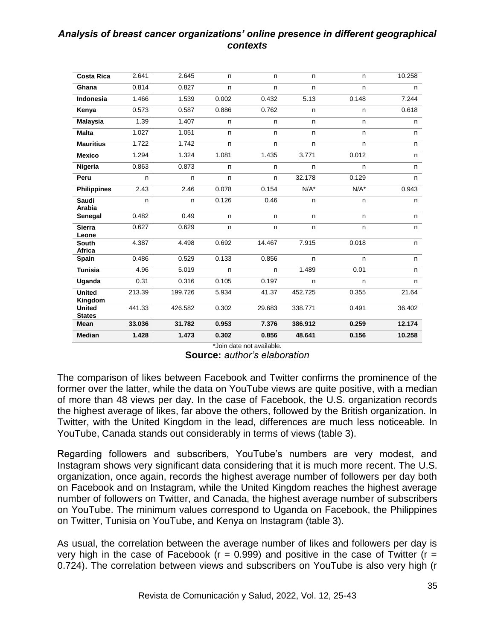| <b>Costa Rica</b>              | 2.641  | 2.645   | n     | n            | n.      | n.      | 10.258 |
|--------------------------------|--------|---------|-------|--------------|---------|---------|--------|
| Ghana                          | 0.814  | 0.827   | n     | n            | n       | n       | n      |
| Indonesia                      | 1.466  | 1.539   | 0.002 | 0.432        | 5.13    | 0.148   | 7.244  |
| Kenya                          | 0.573  | 0.587   | 0.886 | 0.762        | n.      | n.      | 0.618  |
| <b>Malaysia</b>                | 1.39   | 1.407   | n.    | n.           | n.      | n.      | n.     |
| <b>Malta</b>                   | 1.027  | 1.051   | n     | n            | n       | n       | n      |
| <b>Mauritius</b>               | 1.722  | 1.742   | n     | n            | n       | n       | n.     |
| <b>Mexico</b>                  | 1.294  | 1.324   | 1.081 | 1.435        | 3.771   | 0.012   | n      |
| Nigeria                        | 0.863  | 0.873   | n     | n            | n       | n       | n      |
| Peru                           | n      | n       | n     | n            | 32.178  | 0.129   | n      |
| <b>Philippines</b>             | 2.43   | 2.46    | 0.078 | 0.154        | $N/A^*$ | $N/A^*$ | 0.943  |
| Saudi<br>Arabia                | n      | n       | 0.126 | 0.46         | n.      | n.      | n.     |
| Senegal                        | 0.482  | 0.49    | n.    | n.           | n.      | n.      | n      |
| <b>Sierra</b><br>Leone         | 0.627  | 0.629   | n     | $\mathsf{n}$ | n       | n       | n      |
| <b>South</b><br>Africa         | 4.387  | 4.498   | 0.692 | 14.467       | 7.915   | 0.018   | n      |
| Spain                          | 0.486  | 0.529   | 0.133 | 0.856        | n.      | n.      | n.     |
| <b>Tunisia</b>                 | 4.96   | 5.019   | n     | n            | 1.489   | 0.01    | n.     |
| Uganda                         | 0.31   | 0.316   | 0.105 | 0.197        | n       | n       | n.     |
| <b>United</b><br>Kingdom       | 213.39 | 199.726 | 5.934 | 41.37        | 452.725 | 0.355   | 21.64  |
| <b>United</b><br><b>States</b> | 441.33 | 426.582 | 0.302 | 29.683       | 338.771 | 0.491   | 36.402 |
| Mean                           | 33.036 | 31.782  | 0.953 | 7.376        | 386.912 | 0.259   | 12.174 |
| <b>Median</b>                  | 1.428  | 1.473   | 0.302 | 0.856        | 48.641  | 0.156   | 10.258 |

\*Join date not available. **Source:** *author's elaboration*

The comparison of likes between Facebook and Twitter confirms the prominence of the former over the latter, while the data on YouTube views are quite positive, with a median of more than 48 views per day. In the case of Facebook, the U.S. organization records the highest average of likes, far above the others, followed by the British organization. In Twitter, with the United Kingdom in the lead, differences are much less noticeable. In YouTube, Canada stands out considerably in terms of views (table 3).

Regarding followers and subscribers, YouTube's numbers are very modest, and Instagram shows very significant data considering that it is much more recent. The U.S. organization, once again, records the highest average number of followers per day both on Facebook and on Instagram, while the United Kingdom reaches the highest average number of followers on Twitter, and Canada, the highest average number of subscribers on YouTube. The minimum values correspond to Uganda on Facebook, the Philippines on Twitter, Tunisia on YouTube, and Kenya on Instagram (table 3).

As usual, the correlation between the average number of likes and followers per day is very high in the case of Facebook ( $r = 0.999$ ) and positive in the case of Twitter ( $r =$ 0.724). The correlation between views and subscribers on YouTube is also very high (r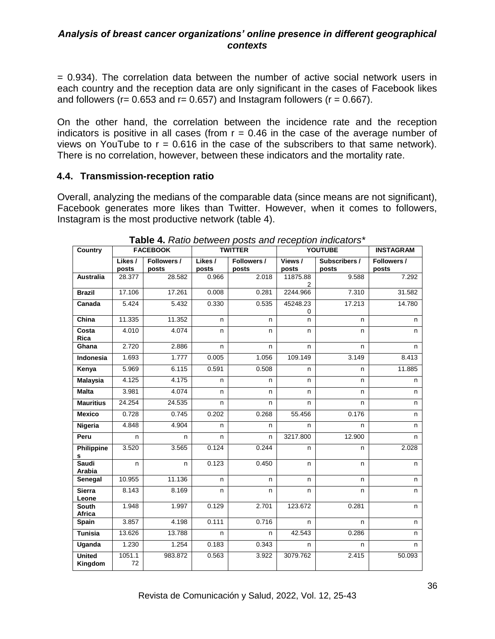= 0.934). The correlation data between the number of active social network users in each country and the reception data are only significant in the cases of Facebook likes and followers ( $r = 0.653$  and  $r = 0.657$ ) and Instagram followers ( $r = 0.667$ ).

On the other hand, the correlation between the incidence rate and the reception indicators is positive in all cases (from  $r = 0.46$  in the case of the average number of views on YouTube to  $r = 0.616$  in the case of the subscribers to that same network). There is no correlation, however, between these indicators and the mortality rate.

# **4.4. Transmission-reception ratio**

Overall, analyzing the medians of the comparable data (since means are not significant), Facebook generates more likes than Twitter. However, when it comes to followers, Instagram is the most productive network (table 4).

| Country                  |                  | <b>FACEBOOK</b>      |                  | <b>TWITTER</b>       | <b>YOUTUBE</b>  | <b>INSTAGRAM</b>       |                      |
|--------------------------|------------------|----------------------|------------------|----------------------|-----------------|------------------------|----------------------|
|                          | Likes /<br>posts | Followers /<br>posts | Likes /<br>posts | Followers /<br>posts | Views/<br>posts | Subscribers /<br>posts | Followers /<br>posts |
| <b>Australia</b>         | 28.377           | 28.582               | 0.966            | 2.018                | 11875.88<br>2   | 9.588                  | 7.292                |
| <b>Brazil</b>            | 17.106           | 17.261               | 0.008            | 0.281                | 2244.966        | 7.310                  | 31.582               |
| Canada                   | 5.424            | 5.432                | 0.330            | 0.535                | 45248.23<br>0   | 17.213                 | 14.780               |
| China                    | 11.335           | 11.352               | n                | n.                   | n               | n.                     | n                    |
| Costa<br>Rica            | 4.010            | 4.074                | n.               | n.                   | n               | n                      | n                    |
| Ghana                    | 2.720            | 2.886                | n                | n.                   | n               | n                      | n                    |
| <b>Indonesia</b>         | 1.693            | 1.777                | 0.005            | 1.056                | 109.149         | 3.149                  | 8.413                |
| Kenya                    | 5.969            | 6.115                | 0.591            | 0.508                | n               | n                      | 11.885               |
| <b>Malaysia</b>          | 4.125            | 4.175                | n                | n                    | n               | n                      | n                    |
| <b>Malta</b>             | 3.981            | 4.074                | n                | n.                   | n               | n                      | n                    |
| <b>Mauritius</b>         | 24.254           | 24.535               | n                | n                    | n               | n                      | n                    |
| <b>Mexico</b>            | 0.728            | 0.745                | 0.202            | 0.268                | 55.456          | 0.176                  | n                    |
| Nigeria                  | 4.848            | 4.904                | n                | n.                   | n               | n.                     | n                    |
| Peru                     | n.               | n                    | n.               | n.                   | 3217.800        | 12.900                 | n                    |
| <b>Philippine</b><br>s   | 3.520            | 3.565                | 0.124            | 0.244                | n               | n                      | 2.028                |
| Saudi<br>Arabia          | n                | n                    | 0.123            | 0.450                | n               | n                      | n                    |
| Senegal                  | 10.955           | 11.136               | n.               | n.                   | n               | n                      | n                    |
| <b>Sierra</b><br>Leone   | 8.143            | 8.169                | n                | n                    | n               | n                      | n                    |
| <b>South</b><br>Africa   | 1.948            | 1.997                | 0.129            | 2.701                | 123.672         | 0.281                  | n.                   |
| Spain                    | 3.857            | 4.198                | 0.111            | 0.716                | n.              | n                      | n                    |
| <b>Tunisia</b>           | 13.626           | 13.788               | n                | n.                   | 42.543          | 0.286                  | n.                   |
| Uganda                   | 1.230            | 1.254                | 0.183            | 0.343                | n.              | n                      | n                    |
| <b>United</b><br>Kingdom | 1051.1<br>72     | 983.872              | 0.563            | 3.922                | 3079.762        | 2.415                  | 50.093               |

**Table 4.** *Ratio between posts and reception indicators\**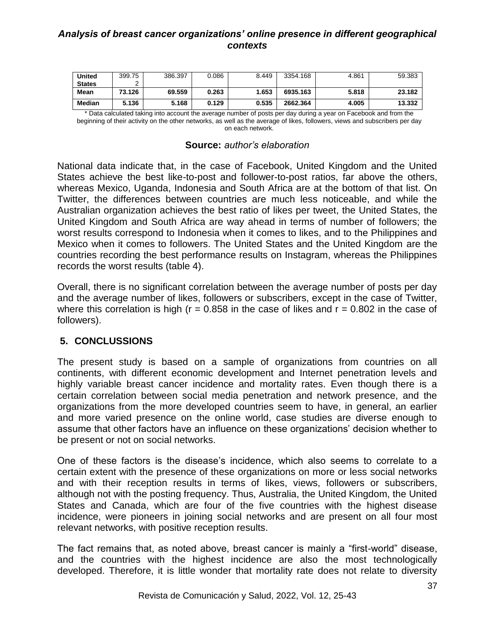| <b>United</b> | 399.75 | 386.397 | 0.086 | 8.449 | 3354.168 | 4.861 | 59.383 |
|---------------|--------|---------|-------|-------|----------|-------|--------|
| <b>States</b> |        |         |       |       |          |       |        |
| Mean          | 73.126 | 69.559  | 0.263 | 1.653 | 6935.163 | 5.818 | 23.182 |
| Median        | 5.136  | 5.168   | 0.129 | 0.535 | 2662.364 | 4.005 | 13.332 |

\* Data calculated taking into account the average number of posts per day during a year on Facebook and from the beginning of their activity on the other networks, as well as the average of likes, followers, views and subscribers per day on each network.

|  |  | <b>Source: author's elaboration</b> |
|--|--|-------------------------------------|
|--|--|-------------------------------------|

National data indicate that, in the case of Facebook, United Kingdom and the United States achieve the best like-to-post and follower-to-post ratios, far above the others, whereas Mexico, Uganda, Indonesia and South Africa are at the bottom of that list. On Twitter, the differences between countries are much less noticeable, and while the Australian organization achieves the best ratio of likes per tweet, the United States, the United Kingdom and South Africa are way ahead in terms of number of followers; the worst results correspond to Indonesia when it comes to likes, and to the Philippines and Mexico when it comes to followers. The United States and the United Kingdom are the countries recording the best performance results on Instagram, whereas the Philippines records the worst results (table 4).

Overall, there is no significant correlation between the average number of posts per day and the average number of likes, followers or subscribers, except in the case of Twitter, where this correlation is high ( $r = 0.858$  in the case of likes and  $r = 0.802$  in the case of followers).

# **5. CONCLUSSIONS**

The present study is based on a sample of organizations from countries on all continents, with different economic development and Internet penetration levels and highly variable breast cancer incidence and mortality rates. Even though there is a certain correlation between social media penetration and network presence, and the organizations from the more developed countries seem to have, in general, an earlier and more varied presence on the online world, case studies are diverse enough to assume that other factors have an influence on these organizations' decision whether to be present or not on social networks.

One of these factors is the disease's incidence, which also seems to correlate to a certain extent with the presence of these organizations on more or less social networks and with their reception results in terms of likes, views, followers or subscribers, although not with the posting frequency. Thus, Australia, the United Kingdom, the United States and Canada, which are four of the five countries with the highest disease incidence, were pioneers in joining social networks and are present on all four most relevant networks, with positive reception results.

The fact remains that, as noted above, breast cancer is mainly a "first-world" disease, and the countries with the highest incidence are also the most technologically developed. Therefore, it is little wonder that mortality rate does not relate to diversity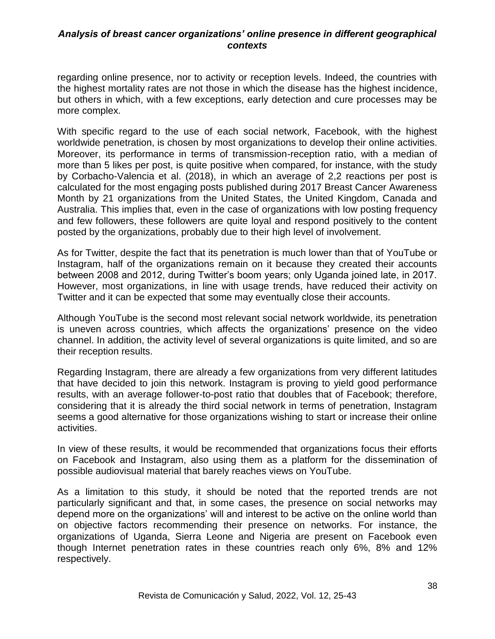regarding online presence, nor to activity or reception levels. Indeed, the countries with the highest mortality rates are not those in which the disease has the highest incidence, but others in which, with a few exceptions, early detection and cure processes may be more complex.

With specific regard to the use of each social network, Facebook, with the highest worldwide penetration, is chosen by most organizations to develop their online activities. Moreover, its performance in terms of transmission-reception ratio, with a median of more than 5 likes per post, is quite positive when compared, for instance, with the study by Corbacho-Valencia et al. (2018), in which an average of 2,2 reactions per post is calculated for the most engaging posts published during 2017 Breast Cancer Awareness Month by 21 organizations from the United States, the United Kingdom, Canada and Australia. This implies that, even in the case of organizations with low posting frequency and few followers, these followers are quite loyal and respond positively to the content posted by the organizations, probably due to their high level of involvement.

As for Twitter, despite the fact that its penetration is much lower than that of YouTube or Instagram, half of the organizations remain on it because they created their accounts between 2008 and 2012, during Twitter's boom years; only Uganda joined late, in 2017. However, most organizations, in line with usage trends, have reduced their activity on Twitter and it can be expected that some may eventually close their accounts.

Although YouTube is the second most relevant social network worldwide, its penetration is uneven across countries, which affects the organizations' presence on the video channel. In addition, the activity level of several organizations is quite limited, and so are their reception results.

Regarding Instagram, there are already a few organizations from very different latitudes that have decided to join this network. Instagram is proving to yield good performance results, with an average follower-to-post ratio that doubles that of Facebook; therefore, considering that it is already the third social network in terms of penetration, Instagram seems a good alternative for those organizations wishing to start or increase their online activities.

In view of these results, it would be recommended that organizations focus their efforts on Facebook and Instagram, also using them as a platform for the dissemination of possible audiovisual material that barely reaches views on YouTube.

As a limitation to this study, it should be noted that the reported trends are not particularly significant and that, in some cases, the presence on social networks may depend more on the organizations' will and interest to be active on the online world than on objective factors recommending their presence on networks. For instance, the organizations of Uganda, Sierra Leone and Nigeria are present on Facebook even though Internet penetration rates in these countries reach only 6%, 8% and 12% respectively.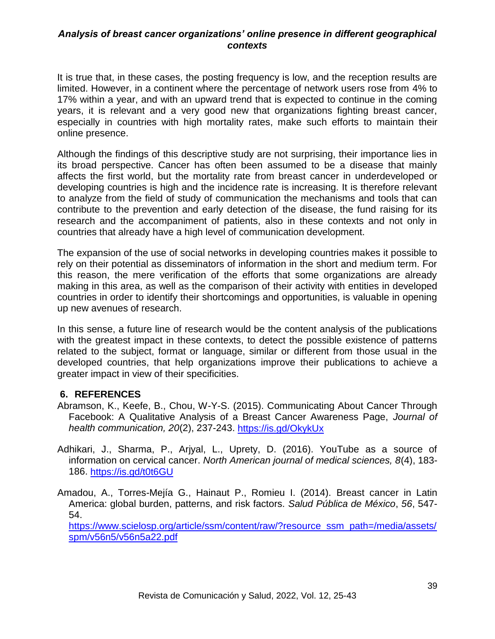It is true that, in these cases, the posting frequency is low, and the reception results are limited. However, in a continent where the percentage of network users rose from 4% to 17% within a year, and with an upward trend that is expected to continue in the coming years, it is relevant and a very good new that organizations fighting breast cancer, especially in countries with high mortality rates, make such efforts to maintain their online presence.

Although the findings of this descriptive study are not surprising, their importance lies in its broad perspective. Cancer has often been assumed to be a disease that mainly affects the first world, but the mortality rate from breast cancer in underdeveloped or developing countries is high and the incidence rate is increasing. It is therefore relevant to analyze from the field of study of communication the mechanisms and tools that can contribute to the prevention and early detection of the disease, the fund raising for its research and the accompaniment of patients, also in these contexts and not only in countries that already have a high level of communication development.

The expansion of the use of social networks in developing countries makes it possible to rely on their potential as disseminators of information in the short and medium term. For this reason, the mere verification of the efforts that some organizations are already making in this area, as well as the comparison of their activity with entities in developed countries in order to identify their shortcomings and opportunities, is valuable in opening up new avenues of research.

In this sense, a future line of research would be the content analysis of the publications with the greatest impact in these contexts, to detect the possible existence of patterns related to the subject, format or language, similar or different from those usual in the developed countries, that help organizations improve their publications to achieve a greater impact in view of their specificities.

# **6. REFERENCES**

- Abramson, K., Keefe, B., Chou, W-Y-S. (2015). Communicating About Cancer Through Facebook: A Qualitative Analysis of a Breast Cancer Awareness Page, *Journal of health communication, 20*(2), 237-243.<https://is.gd/OkykUx>
- Adhikari, J., Sharma, P., Arjyal, L., Uprety, D. (2016). YouTube as a source of information on cervical cancer. *North American journal of medical sciences, 8*(4), 183- 186.<https://is.gd/t0t6GU>
- Amadou, A., Torres-Mejía G., Hainaut P., Romieu I. (2014). Breast cancer in Latin America: global burden, patterns, and risk factors. *Salud Pública de México*, *56*, 547- 54.

[https://www.scielosp.org/article/ssm/content/raw/?resource\\_ssm\\_path=/media/assets/](https://www.scielosp.org/article/ssm/content/raw/?resource_ssm_path=/media/assets/spm/v56n5/v56n5a22.pdf) [spm/v56n5/v56n5a22.pdf](https://www.scielosp.org/article/ssm/content/raw/?resource_ssm_path=/media/assets/spm/v56n5/v56n5a22.pdf)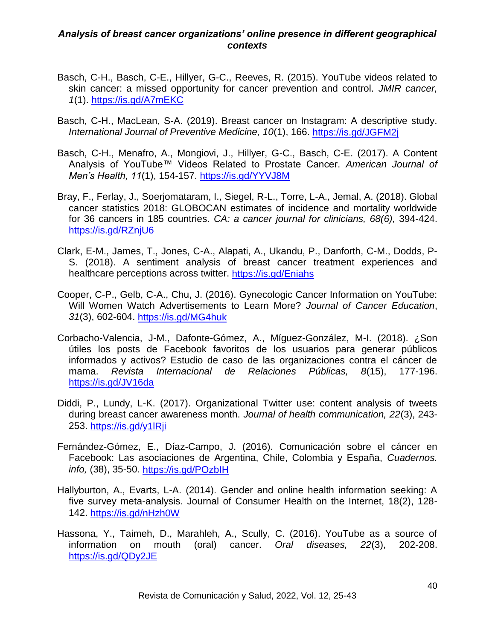- Basch, C-H., Basch, C-E., Hillyer, G-C., Reeves, R. (2015). YouTube videos related to skin cancer: a missed opportunity for cancer prevention and control. *JMIR cancer, 1*(1). <https://is.gd/A7mEKC>
- Basch, C-H., MacLean, S-A. (2019). Breast cancer on Instagram: A descriptive study. *International Journal of Preventive Medicine, 10*(1), 166.<https://is.gd/JGFM2j>
- Basch, C-H., Menafro, A., Mongiovi, J., Hillyer, G-C., Basch, C-E. (2017). A Content Analysis of YouTube™ Videos Related to Prostate Cancer. *American Journal of Men's Health, 11*(1), 154-157.<https://is.gd/YYVJ8M>
- Bray, F., Ferlay, J., Soerjomataram, I., Siegel, R-L., Torre, L-A., Jemal, A. (2018). Global cancer statistics 2018: GLOBOCAN estimates of incidence and mortality worldwide for 36 cancers in 185 countries. *CA: a cancer journal for clinicians, 68(6),* 394-424. <https://is.gd/RZnjU6>
- Clark, E-M., James, T., Jones, C-A., Alapati, A., Ukandu, P., Danforth, C-M., Dodds, P-S. (2018). A sentiment analysis of breast cancer treatment experiences and healthcare perceptions across twitter. <https://is.gd/Eniahs>
- Cooper, C-P., Gelb, C-A., Chu, J. (2016). Gynecologic Cancer Information on YouTube: Will Women Watch Advertisements to Learn More? *Journal of Cancer Education*, *31*(3), 602-604.<https://is.gd/MG4huk>
- Corbacho-Valencia, J-M., Dafonte-Gómez, A., Míguez-González, M-I. (2018). ¿Son útiles los posts de Facebook favoritos de los usuarios para generar públicos informados y activos? Estudio de caso de las organizaciones contra el cáncer de mama. *Revista Internacional de Relaciones Públicas, 8*(15), 177-196. <https://is.gd/JV16da>
- Diddi, P., Lundy, L-K. (2017). Organizational Twitter use: content analysis of tweets during breast cancer awareness month. *Journal of health communication, 22*(3), 243- 253.<https://is.gd/y1lRji>
- Fernández-Gómez, E., Díaz-Campo, J. (2016). Comunicación sobre el cáncer en Facebook: Las asociaciones de Argentina, Chile, Colombia y España, *Cuadernos. info,* (38), 35-50.<https://is.gd/POzbIH>
- Hallyburton, A., Evarts, L-A. (2014). Gender and online health information seeking: A five survey meta-analysis. Journal of Consumer Health on the Internet, 18(2), 128- 142.<https://is.gd/nHzh0W>
- Hassona, Y., Taimeh, D., Marahleh, A., Scully, C. (2016). YouTube as a source of information on mouth (oral) cancer. *Oral diseases, 22*(3), 202-208. <https://is.gd/QDy2JE>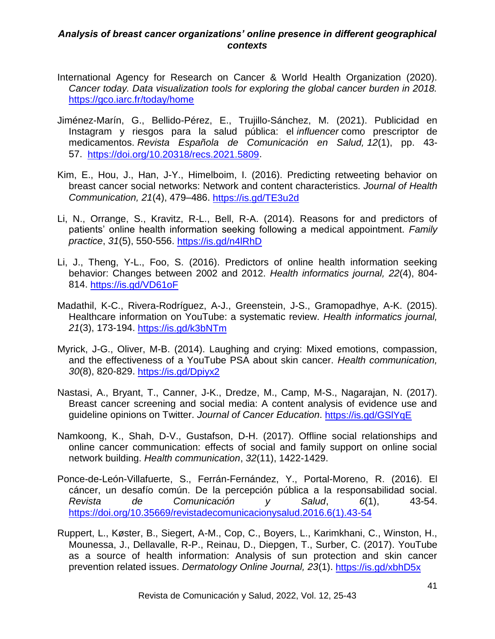- International Agency for Research on Cancer & World Health Organization (2020). *Cancer today. Data visualization tools for exploring the global cancer burden in 2018.*  <https://gco.iarc.fr/today/home>
- Jiménez-Marín, G., Bellido-Pérez, E., Trujillo-Sánchez, M. (2021). Publicidad en Instagram y riesgos para la salud pública: el *influencer* como prescriptor de medicamentos. *Revista Española de Comunicación en Salud, 12*(1), pp. 43- 57. [https://doi.org/10.20318/recs.2021.5809.](https://doi.org/10.20318/recs.2021.5809)
- Kim, E., Hou, J., Han, J-Y., Himelboim, I. (2016). Predicting retweeting behavior on breast cancer social networks: Network and content characteristics. *Journal of Health Communication, 21*(4), 479–486.<https://is.gd/TE3u2d>
- Li, N., Orrange, S., Kravitz, R-L., Bell, R-A. (2014). Reasons for and predictors of patients' online health information seeking following a medical appointment. *Family practice*, *31*(5), 550-556.<https://is.gd/n4lRhD>
- Li, J., Theng, Y-L., Foo, S. (2016). Predictors of online health information seeking behavior: Changes between 2002 and 2012. *Health informatics journal, 22*(4), 804- 814.<https://is.gd/VD61oF>
- Madathil, K-C., Rivera-Rodríguez, A-J., Greenstein, J-S., Gramopadhye, A-K. (2015). Healthcare information on YouTube: a systematic review. *Health informatics journal, 21*(3), 173-194.<https://is.gd/k3bNTm>
- Myrick, J-G., Oliver, M-B. (2014). Laughing and crying: Mixed emotions, compassion, and the effectiveness of a YouTube PSA about skin cancer. *Health communication, 30*(8), 820-829.<https://is.gd/Dpiyx2>
- Nastasi, A., Bryant, T., Canner, J-K., Dredze, M., Camp, M-S., Nagarajan, N. (2017). Breast cancer screening and social media: A content analysis of evidence use and guideline opinions on Twitter. *Journal of Cancer Education*.<https://is.gd/GSlYqE>
- Namkoong, K., Shah, D-V., Gustafson, D-H. (2017). Offline social relationships and online cancer communication: effects of social and family support on online social network building. *Health communication*, *32*(11), 1422-1429.
- Ponce-de-León-Villafuerte, S., Ferrán-Fernández, Y., Portal-Moreno, R. (2016). El cáncer, un desafío común. De la percepción pública a la responsabilidad social. *Revista de Comunicación y Salud*, *6*(1), 43-54. [https://doi.org/10.35669/revistadecomunicacionysalud.2016.6\(1\).43-54](https://doi.org/10.35669/revistadecomunicacionysalud.2016.6(1).43-54)
- Ruppert, L., Køster, B., Siegert, A-M., Cop, C., Boyers, L., Karimkhani, C., Winston, H., Mounessa, J., Dellavalle, R-P., Reinau, D., Diepgen, T., Surber, C. (2017). YouTube as a source of health information: Analysis of sun protection and skin cancer prevention related issues. *Dermatology Online Journal, 23*(1). <https://is.gd/xbhD5x>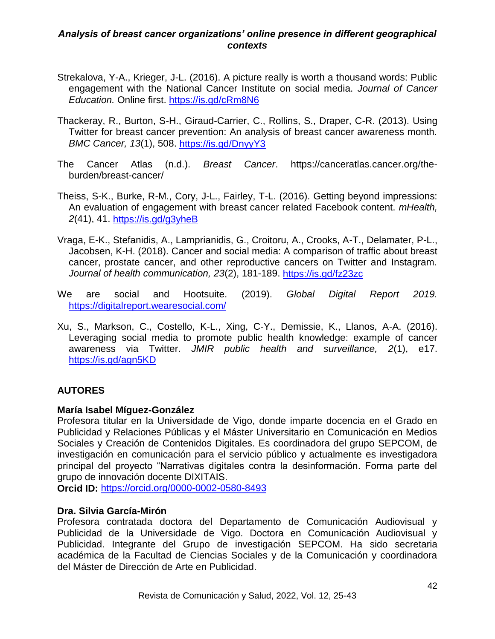- Strekalova, Y-A., Krieger, J-L. (2016). A picture really is worth a thousand words: Public engagement with the National Cancer Institute on social media. *Journal of Cancer Education.* Online first.<https://is.gd/cRm8N6>
- Thackeray, R., Burton, S-H., Giraud-Carrier, C., Rollins, S., Draper, C-R. (2013). Using Twitter for breast cancer prevention: An analysis of breast cancer awareness month. *BMC Cancer, 13*(1), 508.<https://is.gd/DnyyY3>
- The Cancer Atlas (n.d.). *Breast Cancer*. https://canceratlas.cancer.org/theburden/breast-cancer/
- Theiss, S-K., Burke, R-M., Cory, J-L., Fairley, T-L. (2016). Getting beyond impressions: An evaluation of engagement with breast cancer related Facebook content. *mHealth, 2*(41), 41.<https://is.gd/g3yheB>
- Vraga, E-K., Stefanidis, A., Lamprianidis, G., Croitoru, A., Crooks, A-T., Delamater, P-L., Jacobsen, K-H. (2018). Cancer and social media: A comparison of traffic about breast cancer, prostate cancer, and other reproductive cancers on Twitter and Instagram. *Journal of health communication, 23*(2), 181-189.<https://is.gd/fz23zc>
- We are social and Hootsuite. (2019). *Global Digital Report 2019.* <https://digitalreport.wearesocial.com/>
- Xu, S., Markson, C., Costello, K-L., Xing, C-Y., Demissie, K., Llanos, A-A. (2016). Leveraging social media to promote public health knowledge: example of cancer awareness via Twitter. *JMIR public health and surveillance, 2*(1), e17. <https://is.gd/agn5KD>

# **AUTORES**

# **María Isabel Míguez-González**

Profesora titular en la Universidade de Vigo, donde imparte docencia en el Grado en Publicidad y Relaciones Públicas y el Máster Universitario en Comunicación en Medios Sociales y Creación de Contenidos Digitales. Es coordinadora del grupo SEPCOM, de investigación en comunicación para el servicio público y actualmente es investigadora principal del proyecto "Narrativas digitales contra la desinformación. Forma parte del grupo de innovación docente DIXITAIS.

**Orcid ID:** <https://orcid.org/0000-0002-0580-8493>

# **Dra. Silvia García-Mirón**

Profesora contratada doctora del Departamento de Comunicación Audiovisual y Publicidad de la Universidade de Vigo. Doctora en Comunicación Audiovisual y Publicidad. Integrante del Grupo de investigación SEPCOM. Ha sido secretaria académica de la Facultad de Ciencias Sociales y de la Comunicación y coordinadora del Máster de Dirección de Arte en Publicidad.